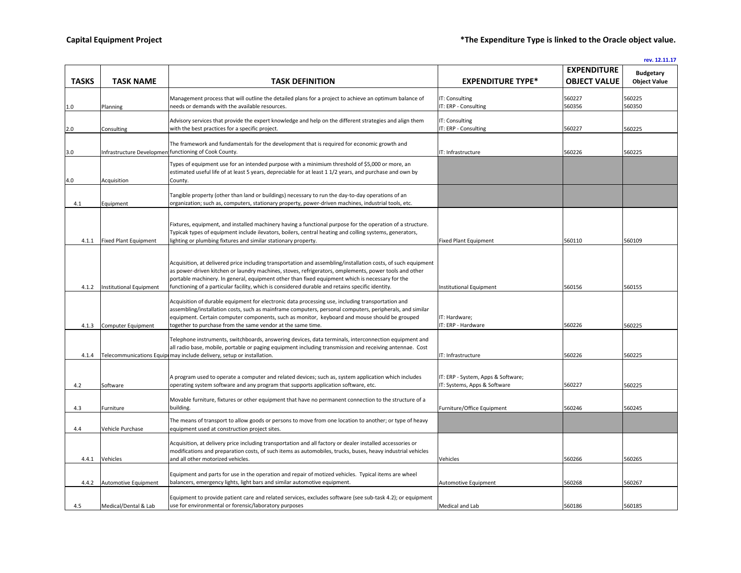**rev. 12.11.17**

 $1.0$ 

 $3.0$ 

4.0 Acquisition

 $4.1$ 

4.4.2 Automotive Equipment

4.5 Medical/Dental & Lab

 $2.0$ 

|       |                             |                                                                                                                                                          |                                        | <b>EXPENDITURE</b>  | <b>Budgetary</b>    |
|-------|-----------------------------|----------------------------------------------------------------------------------------------------------------------------------------------------------|----------------------------------------|---------------------|---------------------|
| TASKS | <b>TASK NAME</b>            | <b>TASK DEFINITION</b>                                                                                                                                   | <b>EXPENDITURE TYPE*</b>               | <b>OBJECT VALUE</b> | <b>Object Value</b> |
|       |                             |                                                                                                                                                          |                                        |                     |                     |
| D     |                             | Management process that will outline the detailed plans for a project to achieve an optimum balance of<br>needs or demands with the available resources. | IT: Consulting<br>IT: ERP - Consulting | 560227<br>560356    | 560225<br>560350    |
|       | Planning                    |                                                                                                                                                          |                                        |                     |                     |
|       |                             | Advisory services that provide the expert knowledge and help on the different strategies and align them                                                  | IT: Consulting                         |                     |                     |
| D     | Consulting                  | with the best practices for a specific project.                                                                                                          | IT: ERP - Consulting                   | 560227              | 560225              |
|       |                             |                                                                                                                                                          |                                        |                     |                     |
|       |                             | The framework and fundamentals for the development that is required for economic growth and                                                              |                                        |                     |                     |
| D     |                             | Infrastructure Developmen functioning of Cook County.                                                                                                    | IT: Infrastructure                     | 560226              | 560225              |
|       |                             | Types of equipment use for an intended purpose with a minimium threshold of \$5,000 or more, an                                                          |                                        |                     |                     |
|       |                             | estimated useful life of at least 5 years, depreciable for at least 1 1/2 years, and purchase and own by                                                 |                                        |                     |                     |
|       | Acquisition                 | County.                                                                                                                                                  |                                        |                     |                     |
|       |                             |                                                                                                                                                          |                                        |                     |                     |
|       |                             | Tangible property (other than land or buildings) necessary to run the day-to-day operations of an                                                        |                                        |                     |                     |
| 4.1   | Equipment                   | organization; such as, computers, stationary property, power-driven machines, industrial tools, etc.                                                     |                                        |                     |                     |
|       |                             |                                                                                                                                                          |                                        |                     |                     |
|       |                             | Fixtures, equipment, and installed machinery having a functional purpose for the operation of a structure.                                               |                                        |                     |                     |
|       |                             | Typicak types of equipment include ilevators, boilers, central heating and colling systems, generators,                                                  |                                        |                     |                     |
|       | 4.1.1 Fixed Plant Equipment | lighting or plumbing fixtures and similar stationary property.                                                                                           | <b>Fixed Plant Equipment</b>           | 560110              | 560109              |
|       |                             |                                                                                                                                                          |                                        |                     |                     |
|       |                             | Acquisition, at delivered price including transportation and assembling/installation costs, of such equipment                                            |                                        |                     |                     |
|       |                             | as power-driven kitchen or laundry machines, stoves, refrigerators, omplements, power tools and other                                                    |                                        |                     |                     |
|       |                             | portable machinery. In general, equipment other than fixed equipment which is necessary for the                                                          |                                        |                     |                     |
| 4.1.2 | Institutional Equipment     | functioning of a particular facility, which is considered durable and retains specific identity.                                                         | Institutional Equipment                | 560156              | 560155              |
|       |                             |                                                                                                                                                          |                                        |                     |                     |
|       |                             | Acquisition of durable equipment for electronic data processing use, including transportation and                                                        |                                        |                     |                     |
|       |                             | assembling/installation costs, such as mainframe computers, personal computers, peripherals, and similar                                                 |                                        |                     |                     |
|       |                             | equipment. Certain computer components, such as monitor, keyboard and mouse should be grouped                                                            | IT: Hardware;                          |                     |                     |
| 4.1.3 | <b>Computer Equipment</b>   | together to purchase from the same vendor at the same time.                                                                                              | IT: ERP - Hardware                     | 560226              | 560225              |
|       |                             | Telephone instruments, switchboards, answering devices, data terminals, interconnection equipment and                                                    |                                        |                     |                     |
|       |                             | all radio base, mobile, portable or paging equipment including transmission and receiving antennae. Cost                                                 |                                        |                     |                     |
| 4.1.4 |                             | Telecommunications Equipt may include delivery, setup or installation.                                                                                   | IT: Infrastructure                     | 560226              | 560225              |
|       |                             |                                                                                                                                                          |                                        |                     |                     |
|       |                             |                                                                                                                                                          |                                        |                     |                     |
|       |                             | A program used to operate a computer and related devices; such as, system application which includes                                                     | IT: ERP - System, Apps & Software;     |                     |                     |
| 4.2   | Software                    | operating system software and any program that supports application software, etc.                                                                       | IT: Systems, Apps & Software           | 560227              | 560225              |
|       |                             | Movable furniture, fixtures or other equipment that have no permanent connection to the structure of a                                                   |                                        |                     |                     |
| 4.3   | Furniture                   | building.                                                                                                                                                | Furniture/Office Equipment             | 560246              | 560245              |
|       |                             |                                                                                                                                                          |                                        |                     |                     |
|       |                             | The means of transport to allow goods or persons to move from one location to another; or type of heavy                                                  |                                        |                     |                     |
| 4.4   | Vehicle Purchase            | equipment used at construction project sites.                                                                                                            |                                        |                     |                     |
|       |                             | Acquisition, at delivery price including transportation and all factory or dealer installed accessories or                                               |                                        |                     |                     |
|       |                             | modifications and preparation costs, of such items as automobiles, trucks, buses, heavy industrial vehicles                                              |                                        |                     |                     |
| 4.4.1 | Vehicles                    | and all other motorized vehicles.                                                                                                                        | Vehicles                               | 560266              | 560265              |
|       |                             |                                                                                                                                                          |                                        |                     |                     |
|       |                             | Equipment and parts for use in the operation and repair of motized vehicles. Typical items are wheel                                                     |                                        |                     |                     |

balancers, emergency lights, light bars and similar automotive equipment. Automotive Equipment 560268 560267 560267

use for environmental or forensic/laboratory purposes and the state of the state of the state of the state of the state of the state of the state of the state of the state of the state of the state of the state of the stat

Equipment to provide patient care and related services, excludes software (see sub-task 4.2); or equipment